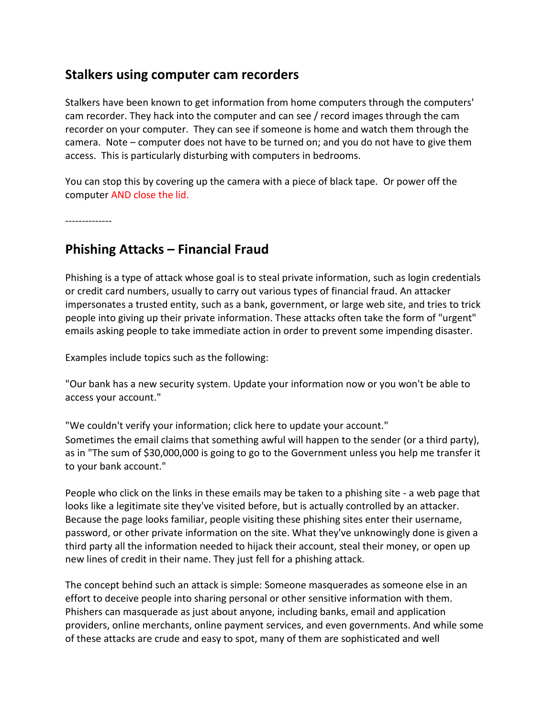## **Stalkers using computer cam recorders**

Stalkers have been known to get information from home computers through the computers' cam recorder. They hack into the computer and can see / record images through the cam recorder on your computer. They can see if someone is home and watch them through the camera. Note – computer does not have to be turned on; and you do not have to give them access. This is particularly disturbing with computers in bedrooms.

You can stop this by covering up the camera with a piece of black tape. Or power off the computer AND close the lid.

--------------

## **Phishing Attacks – Financial Fraud**

Phishing is a type of attack whose goal is to steal private information, such as login credentials or credit card numbers, usually to carry out various types of financial fraud. An attacker impersonates a trusted entity, such as a bank, government, or large web site, and tries to trick people into giving up their private information. These attacks often take the form of "urgent" emails asking people to take immediate action in order to prevent some impending disaster.

Examples include topics such as the following:

"Our bank has a new security system. Update your information now or you won't be able to access your account."

"We couldn't verify your information; click here to update your account." Sometimes the email claims that something awful will happen to the sender (or a third party), as in "The sum of \$30,000,000 is going to go to the Government unless you help me transfer it to your bank account."

People who click on the links in these emails may be taken to a phishing site - a web page that looks like a legitimate site they've visited before, but is actually controlled by an attacker. Because the page looks familiar, people visiting these phishing sites enter their username, password, or other private information on the site. What they've unknowingly done is given a third party all the information needed to hijack their account, steal their money, or open up new lines of credit in their name. They just fell for a phishing attack.

The concept behind such an attack is simple: Someone masquerades as someone else in an effort to deceive people into sharing personal or other sensitive information with them. Phishers can masquerade as just about anyone, including banks, email and application providers, online merchants, online payment services, and even governments. And while some of these attacks are crude and easy to spot, many of them are sophisticated and well